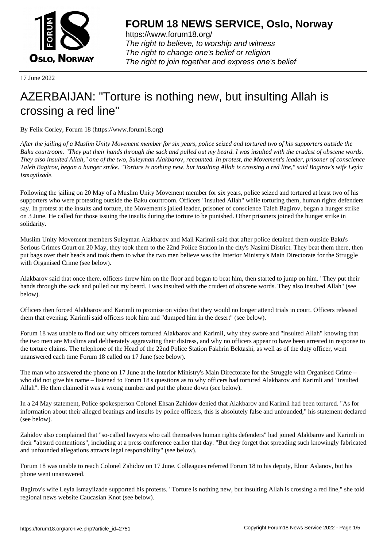

https://www.forum18.org/ The right to believe, to worship and witness The right to change one's belief or religion [The right to join together a](https://www.forum18.org/)nd express one's belief

17 June 2022

## [AZERBAIJAN: "](https://www.forum18.org)Torture is nothing new, but insulting Allah is crossing a red line"

By Felix Corley, Forum 18 (https://www.forum18.org)

*After the jailing of a Muslim Unity Movement member for six years, police seized and tortured two of his supporters outside the Baku courtroom. "They put their hands through the sack and pulled out my beard. I was insulted with the crudest of obscene words. They also insulted Allah," one of the two, Suleyman Alakbarov, recounted. In protest, the Movement's leader, prisoner of conscience Taleh Bagirov, began a hunger strike. "Torture is nothing new, but insulting Allah is crossing a red line," said Bagirov's wife Leyla Ismayilzade.*

Following the jailing on 20 May of a Muslim Unity Movement member for six years, police seized and tortured at least two of his supporters who were protesting outside the Baku courtroom. Officers "insulted Allah" while torturing them, human rights defenders say. In protest at the insults and torture, the Movement's jailed leader, prisoner of conscience Taleh Bagirov, began a hunger strike on 3 June. He called for those issuing the insults during the torture to be punished. Other prisoners joined the hunger strike in solidarity.

Muslim Unity Movement members Suleyman Alakbarov and Mail Karimli said that after police detained them outside Baku's Serious Crimes Court on 20 May, they took them to the 22nd Police Station in the city's Nasimi District. They beat them there, then put bags over their heads and took them to what the two men believe was the Interior Ministry's Main Directorate for the Struggle with Organised Crime (see below).

Alakbarov said that once there, officers threw him on the floor and began to beat him, then started to jump on him. "They put their hands through the sack and pulled out my beard. I was insulted with the crudest of obscene words. They also insulted Allah" (see below).

Officers then forced Alakbarov and Karimli to promise on video that they would no longer attend trials in court. Officers released them that evening. Karimli said officers took him and "dumped him in the desert" (see below).

Forum 18 was unable to find out why officers tortured Alakbarov and Karimli, why they swore and "insulted Allah" knowing that the two men are Muslims and deliberately aggravating their distress, and why no officers appear to have been arrested in response to the torture claims. The telephone of the Head of the 22nd Police Station Fakhrin Bektashi, as well as of the duty officer, went unanswered each time Forum 18 called on 17 June (see below).

The man who answered the phone on 17 June at the Interior Ministry's Main Directorate for the Struggle with Organised Crime – who did not give his name – listened to Forum 18's questions as to why officers had tortured Alakbarov and Karimli and "insulted Allah". He then claimed it was a wrong number and put the phone down (see below).

In a 24 May statement, Police spokesperson Colonel Ehsan Zahidov denied that Alakbarov and Karimli had been tortured. "As for information about their alleged beatings and insults by police officers, this is absolutely false and unfounded," his statement declared (see below).

Zahidov also complained that "so-called lawyers who call themselves human rights defenders" had joined Alakbarov and Karimli in their "absurd contentions", including at a press conference earlier that day. "But they forget that spreading such knowingly fabricated and unfounded allegations attracts legal responsibility" (see below).

Forum 18 was unable to reach Colonel Zahidov on 17 June. Colleagues referred Forum 18 to his deputy, Elnur Aslanov, but his phone went unanswered.

Bagirov's wife Leyla Ismayilzade supported his protests. "Torture is nothing new, but insulting Allah is crossing a red line," she told regional news website Caucasian Knot (see below).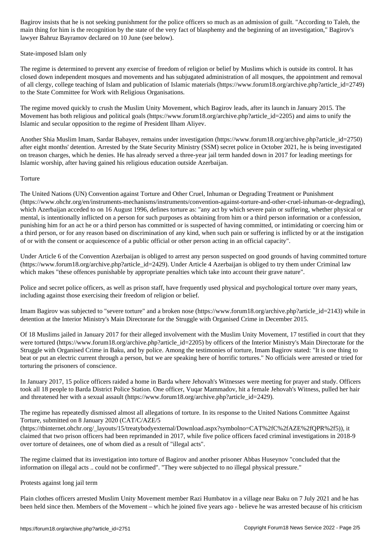main thing for him is the recognition by the state of the very fact of blasphemy and the beginning of an investigation," Bagirov's lawyer Bahruz Bayramov declared on 10 June (see below).

## State-imposed Islam only

The regime is determined to prevent any exercise of freedom of religion or belief by Muslims which is outside its control. It has closed down independent mosques and movements and has subjugated administration of all mosques, the appointment and removal of all clergy, college teaching of Islam and publication of Islamic materials (https://www.forum18.org/archive.php?article\_id=2749) to the State Committee for Work with Religious Organisations.

The regime moved quickly to crush the Muslim Unity Movement, which Bagirov leads, after its launch in January 2015. The Movement has both religious and political goals (https://www.forum18.org/archive.php?article\_id=2205) and aims to unify the Islamic and secular opposition to the regime of President Ilham Aliyev.

Another Shia Muslim Imam, Sardar Babayev, remains under investigation (https://www.forum18.org/archive.php?article\_id=2750) after eight months' detention. Arrested by the State Security Ministry (SSM) secret police in October 2021, he is being investigated on treason charges, which he denies. He has already served a three-year jail term handed down in 2017 for leading meetings for Islamic worship, after having gained his religious education outside Azerbaijan.

## **Torture**

The United Nations (UN) Convention against Torture and Other Cruel, Inhuman or Degrading Treatment or Punishment (https://www.ohchr.org/en/instruments-mechanisms/instruments/convention-against-torture-and-other-cruel-inhuman-or-degrading), which Azerbaijan acceded to on 16 August 1996, defines torture as: "any act by which severe pain or suffering, whether physical or mental, is intentionally inflicted on a person for such purposes as obtaining from him or a third person information or a confession, punishing him for an act he or a third person has committed or is suspected of having committed, or intimidating or coercing him or a third person, or for any reason based on discrimination of any kind, when such pain or suffering is inflicted by or at the instigation of or with the consent or acquiescence of a public official or other person acting in an official capacity".

Under Article 6 of the Convention Azerbaijan is obliged to arrest any person suspected on good grounds of having committed torture  $(\text{https://www.forum18.org/archive.php?article id=2429})$ . Under Article 4 Azerbaijan is obliged to try them under Criminal law which makes "these offences punishable by appropriate penalties which take into account their grave nature".

Police and secret police officers, as well as prison staff, have frequently used physical and psychological torture over many years, including against those exercising their freedom of religion or belief.

Imam Bagirov was subjected to "severe torture" and a broken nose (https://www.forum18.org/archive.php?article\_id=2143) while in detention at the Interior Ministry's Main Directorate for the Struggle with Organised Crime in December 2015.

Of 18 Muslims jailed in January 2017 for their alleged involvement with the Muslim Unity Movement, 17 testified in court that they were tortured (https://www.forum18.org/archive.php?article\_id=2205) by officers of the Interior Ministry's Main Directorate for the Struggle with Organised Crime in Baku, and by police. Among the testimonies of torture, Imam Bagirov stated: "It is one thing to beat or put an electric current through a person, but we are speaking here of horrific tortures." No officials were arrested or tried for torturing the prisoners of conscience.

In January 2017, 15 police officers raided a home in Barda where Jehovah's Witnesses were meeting for prayer and study. Officers took all 18 people to Barda District Police Station. One officer, Vuqar Mammadov, hit a female Jehovah's Witness, pulled her hair and threatened her with a sexual assault (https://www.forum18.org/archive.php?article\_id=2429).

The regime has repeatedly dismissed almost all allegations of torture. In its response to the United Nations Committee Against Torture, submitted on 8 January 2020 (CAT/C/AZE/5

(https://tbinternet.ohchr.org/\_layouts/15/treatybodyexternal/Download.aspx?symbolno=CAT%2fC%2fAZE%2fQPR%2f5)), it claimed that two prison officers had been reprimanded in 2017, while five police officers faced criminal investigations in 2018-9 over torture of detainees, one of whom died as a result of "illegal acts".

The regime claimed that its investigation into torture of Bagirov and another prisoner Abbas Huseynov "concluded that the information on illegal acts .. could not be confirmed". "They were subjected to no illegal physical pressure."

## Protests against long jail term

Plain clothes officers arrested Muslim Unity Movement member Razi Humbatov in a village near Baku on 7 July 2021 and he has been held since then. Members of the Movement – which he joined five years ago - believe he was arrested because of his criticism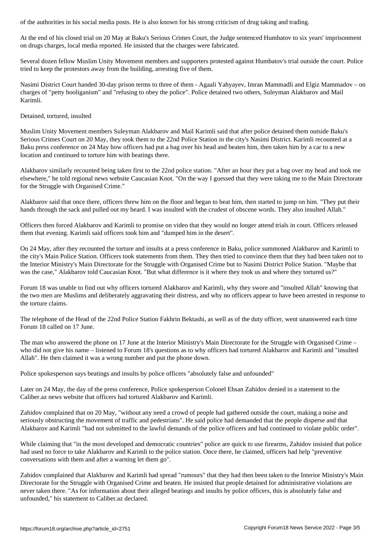At the end of his closed trial on 20 May at Baku's Serious Crimes Court, the Judge sentenced Humbatov to six years' imprisonment on drugs charges, local media reported. He insisted that the charges were fabricated.

Several dozen fellow Muslim Unity Movement members and supporters protested against Humbatov's trial outside the court. Police tried to keep the protestors away from the building, arresting five of them.

Nasimi District Court handed 30-day prison terms to three of them - Agaali Yahyayev, Imran Mammadli and Elgiz Mammadov – on charges of "petty hooliganism" and "refusing to obey the police". Police detained two others, Suleyman Alakbarov and Mail Karimli.

Detained, tortured, insulted

Muslim Unity Movement members Suleyman Alakbarov and Mail Karimli said that after police detained them outside Baku's Serious Crimes Court on 20 May, they took them to the 22nd Police Station in the city's Nasimi District. Karimli recounted at a Baku press conference on 24 May how officers had put a bag over his head and beaten him, then taken him by a car to a new location and continued to torture him with beatings there.

Alakbarov similarly recounted being taken first to the 22nd police station. "After an hour they put a bag over my head and took me elsewhere," he told regional news website Caucasian Knot. "On the way I guessed that they were taking me to the Main Directorate for the Struggle with Organised Crime."

Alakbarov said that once there, officers threw him on the floor and began to beat him, then started to jump on him. "They put their hands through the sack and pulled out my beard. I was insulted with the crudest of obscene words. They also insulted Allah."

Officers then forced Alakbarov and Karimli to promise on video that they would no longer attend trials in court. Officers released them that evening. Karimli said officers took him and "dumped him in the desert".

On 24 May, after they recounted the torture and insults at a press conference in Baku, police summoned Alakbarov and Karimli to the city's Main Police Station. Officers took statements from them. They then tried to convince them that they had been taken not to the Interior Ministry's Main Directorate for the Struggle with Organised Crime but to Nasimi District Police Station. "Maybe that was the case," Alakbarov told Caucasian Knot. "But what difference is it where they took us and where they tortured us?"

Forum 18 was unable to find out why officers tortured Alakbarov and Karimli, why they swore and "insulted Allah" knowing that the two men are Muslims and deliberately aggravating their distress, and why no officers appear to have been arrested in response to the torture claims.

The telephone of the Head of the 22nd Police Station Fakhrin Bektashi, as well as of the duty officer, went unanswered each time Forum 18 called on 17 June.

The man who answered the phone on 17 June at the Interior Ministry's Main Directorate for the Struggle with Organised Crime – who did not give his name – listened to Forum 18's questions as to why officers had tortured Alakbarov and Karimli and "insulted Allah". He then claimed it was a wrong number and put the phone down.

Police spokesperson says beatings and insults by police officers "absolutely false and unfounded"

Later on 24 May, the day of the press conference, Police spokesperson Colonel Ehsan Zahidov denied in a statement to the Caliber.az news website that officers had tortured Alakbarov and Karimli.

Zahidov complained that on 20 May, "without any need a crowd of people had gathered outside the court, making a noise and seriously obstructing the movement of traffic and pedestrians". He said police had demanded that the people disperse and that Alakbarov and Karimli "had not submitted to the lawful demands of the police officers and had continued to violate public order".

While claiming that "in the most developed and democratic countries" police are quick to use firearms, Zahidov insisted that police had used no force to take Alakbarov and Karimli to the police station. Once there, he claimed, officers had help "preventive conversations with them and after a warning let them go".

Zahidov complained that Alakbarov and Karimli had spread "rumours" that they had then been taken to the Interior Ministry's Main Directorate for the Struggle with Organised Crime and beaten. He insisted that people detained for administrative violations are never taken there. "As for information about their alleged beatings and insults by police officers, this is absolutely false and unfounded," his statement to Caliber.az declared.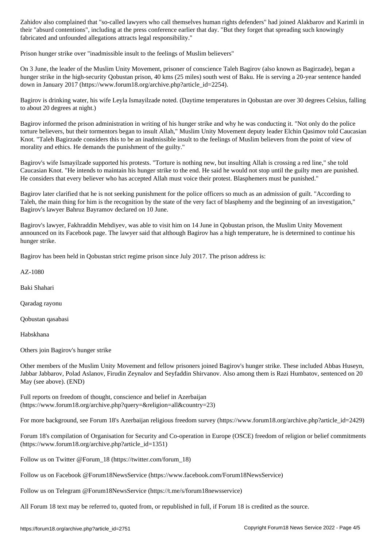their absurd contentions at the press conference earlier that day. "But they forget that spreading such knowing fabricated and unfounded allegations attracts legal responsibility."

Prison hunger strike over "inadmissible insult to the feelings of Muslim believers"

On 3 June, the leader of the Muslim Unity Movement, prisoner of conscience Taleh Bagirov (also known as Bagirzade), began a hunger strike in the high-security Qobustan prison, 40 kms (25 miles) south west of Baku. He is serving a 20-year sentence handed down in January 2017 (https://www.forum18.org/archive.php?article\_id=2254).

Bagirov is drinking water, his wife Leyla Ismayilzade noted. (Daytime temperatures in Qobustan are over 30 degrees Celsius, falling to about 20 degrees at night.)

Bagirov informed the prison administration in writing of his hunger strike and why he was conducting it. "Not only do the police torture believers, but their tormentors began to insult Allah," Muslim Unity Movement deputy leader Elchin Qasimov told Caucasian Knot. "Taleh Bagirzade considers this to be an inadmissible insult to the feelings of Muslim believers from the point of view of morality and ethics. He demands the punishment of the guilty."

Bagirov's wife Ismayilzade supported his protests. "Torture is nothing new, but insulting Allah is crossing a red line," she told Caucasian Knot. "He intends to maintain his hunger strike to the end. He said he would not stop until the guilty men are punished. He considers that every believer who has accepted Allah must voice their protest. Blasphemers must be punished."

Bagirov later clarified that he is not seeking punishment for the police officers so much as an admission of guilt. "According to Taleh, the main thing for him is the recognition by the state of the very fact of blasphemy and the beginning of an investigation," Bagirov's lawyer Bahruz Bayramov declared on 10 June.

Bagirov's lawyer, Fakhraddin Mehdiyev, was able to visit him on 14 June in Qobustan prison, the Muslim Unity Movement announced on its Facebook page. The lawyer said that although Bagirov has a high temperature, he is determined to continue his hunger strike.

Bagirov has been held in Qobustan strict regime prison since July 2017. The prison address is:

AZ-1080

Baki Shahari

Qaradag rayonu

Qobustan qasabasi

Habskhana

Others join Bagirov's hunger strike

Other members of the Muslim Unity Movement and fellow prisoners joined Bagirov's hunger strike. These included Abbas Huseyn, Jabbar Jabbarov, Polad Aslanov, Firudin Zeynalov and Seyfaddin Shirvanov. Also among them is Razi Humbatov, sentenced on 20 May (see above). (END)

Full reports on freedom of thought, conscience and belief in Azerbaijan (https://www.forum18.org/archive.php?query=&religion=all&country=23)

For more background, see Forum 18's Azerbaijan religious freedom survey (https://www.forum18.org/archive.php?article\_id=2429)

Forum 18's compilation of Organisation for Security and Co-operation in Europe (OSCE) freedom of religion or belief commitments (https://www.forum18.org/archive.php?article\_id=1351)

Follow us on Twitter @Forum\_18 (https://twitter.com/forum\_18)

Follow us on Facebook @Forum18NewsService (https://www.facebook.com/Forum18NewsService)

Follow us on Telegram @Forum18NewsService (https://t.me/s/forum18newsservice)

All Forum 18 text may be referred to, quoted from, or republished in full, if Forum 18 is credited as the source.